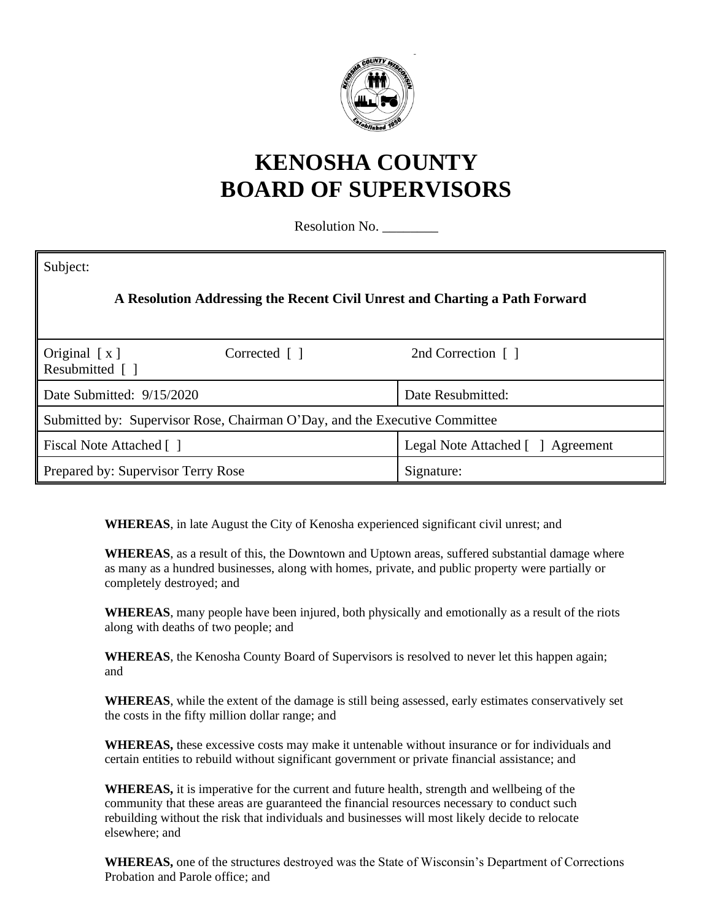

## **KENOSHA COUNTY BOARD OF SUPERVISORS**

Resolution No. \_\_\_\_\_\_\_\_

| Subject:                                                                    |                                   |  |  |  |
|-----------------------------------------------------------------------------|-----------------------------------|--|--|--|
| A Resolution Addressing the Recent Civil Unrest and Charting a Path Forward |                                   |  |  |  |
| Original $[x]$<br>Corrected $\lceil \; \rceil$<br>Resubmitted []            | 2nd Correction []                 |  |  |  |
| Date Submitted: 9/15/2020                                                   | Date Resubmitted:                 |  |  |  |
| Submitted by: Supervisor Rose, Chairman O'Day, and the Executive Committee  |                                   |  |  |  |
| Fiscal Note Attached []                                                     | Legal Note Attached [ ] Agreement |  |  |  |
| Prepared by: Supervisor Terry Rose                                          | Signature:                        |  |  |  |

**WHEREAS**, in late August the City of Kenosha experienced significant civil unrest; and

**WHEREAS**, as a result of this, the Downtown and Uptown areas, suffered substantial damage where as many as a hundred businesses, along with homes, private, and public property were partially or completely destroyed; and

**WHEREAS**, many people have been injured, both physically and emotionally as a result of the riots along with deaths of two people; and

**WHEREAS**, the Kenosha County Board of Supervisors is resolved to never let this happen again; and

**WHEREAS**, while the extent of the damage is still being assessed, early estimates conservatively set the costs in the fifty million dollar range; and

**WHEREAS,** these excessive costs may make it untenable without insurance or for individuals and certain entities to rebuild without significant government or private financial assistance; and

**WHEREAS,** it is imperative for the current and future health, strength and wellbeing of the community that these areas are guaranteed the financial resources necessary to conduct such rebuilding without the risk that individuals and businesses will most likely decide to relocate elsewhere; and

**WHEREAS,** one of the structures destroyed was the State of Wisconsin's Department of Corrections Probation and Parole office; and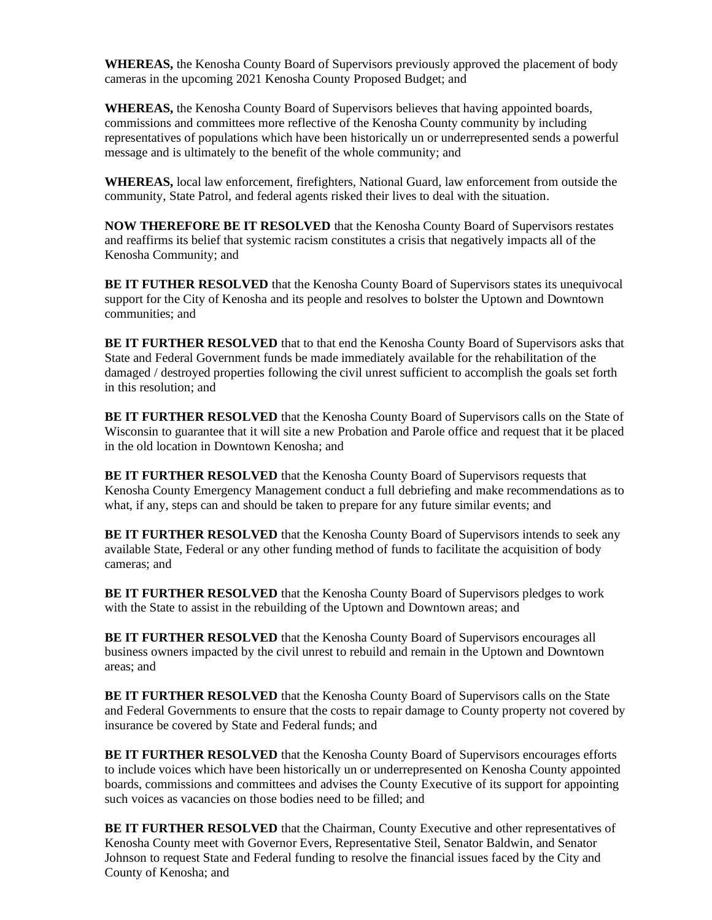**WHEREAS,** the Kenosha County Board of Supervisors previously approved the placement of body cameras in the upcoming 2021 Kenosha County Proposed Budget; and

**WHEREAS,** the Kenosha County Board of Supervisors believes that having appointed boards, commissions and committees more reflective of the Kenosha County community by including representatives of populations which have been historically un or underrepresented sends a powerful message and is ultimately to the benefit of the whole community; and

**WHEREAS,** local law enforcement, firefighters, National Guard, law enforcement from outside the community, State Patrol, and federal agents risked their lives to deal with the situation.

**NOW THEREFORE BE IT RESOLVED** that the Kenosha County Board of Supervisors restates and reaffirms its belief that systemic racism constitutes a crisis that negatively impacts all of the Kenosha Community; and

**BE IT FUTHER RESOLVED** that the Kenosha County Board of Supervisors states its unequivocal support for the City of Kenosha and its people and resolves to bolster the Uptown and Downtown communities; and

**BE IT FURTHER RESOLVED** that to that end the Kenosha County Board of Supervisors asks that State and Federal Government funds be made immediately available for the rehabilitation of the damaged / destroyed properties following the civil unrest sufficient to accomplish the goals set forth in this resolution; and

**BE IT FURTHER RESOLVED** that the Kenosha County Board of Supervisors calls on the State of Wisconsin to guarantee that it will site a new Probation and Parole office and request that it be placed in the old location in Downtown Kenosha; and

**BE IT FURTHER RESOLVED** that the Kenosha County Board of Supervisors requests that Kenosha County Emergency Management conduct a full debriefing and make recommendations as to what, if any, steps can and should be taken to prepare for any future similar events; and

**BE IT FURTHER RESOLVED** that the Kenosha County Board of Supervisors intends to seek any available State, Federal or any other funding method of funds to facilitate the acquisition of body cameras; and

**BE IT FURTHER RESOLVED** that the Kenosha County Board of Supervisors pledges to work with the State to assist in the rebuilding of the Uptown and Downtown areas; and

**BE IT FURTHER RESOLVED** that the Kenosha County Board of Supervisors encourages all business owners impacted by the civil unrest to rebuild and remain in the Uptown and Downtown areas; and

**BE IT FURTHER RESOLVED** that the Kenosha County Board of Supervisors calls on the State and Federal Governments to ensure that the costs to repair damage to County property not covered by insurance be covered by State and Federal funds; and

**BE IT FURTHER RESOLVED** that the Kenosha County Board of Supervisors encourages efforts to include voices which have been historically un or underrepresented on Kenosha County appointed boards, commissions and committees and advises the County Executive of its support for appointing such voices as vacancies on those bodies need to be filled; and

**BE IT FURTHER RESOLVED** that the Chairman, County Executive and other representatives of Kenosha County meet with Governor Evers, Representative Steil, Senator Baldwin, and Senator Johnson to request State and Federal funding to resolve the financial issues faced by the City and County of Kenosha; and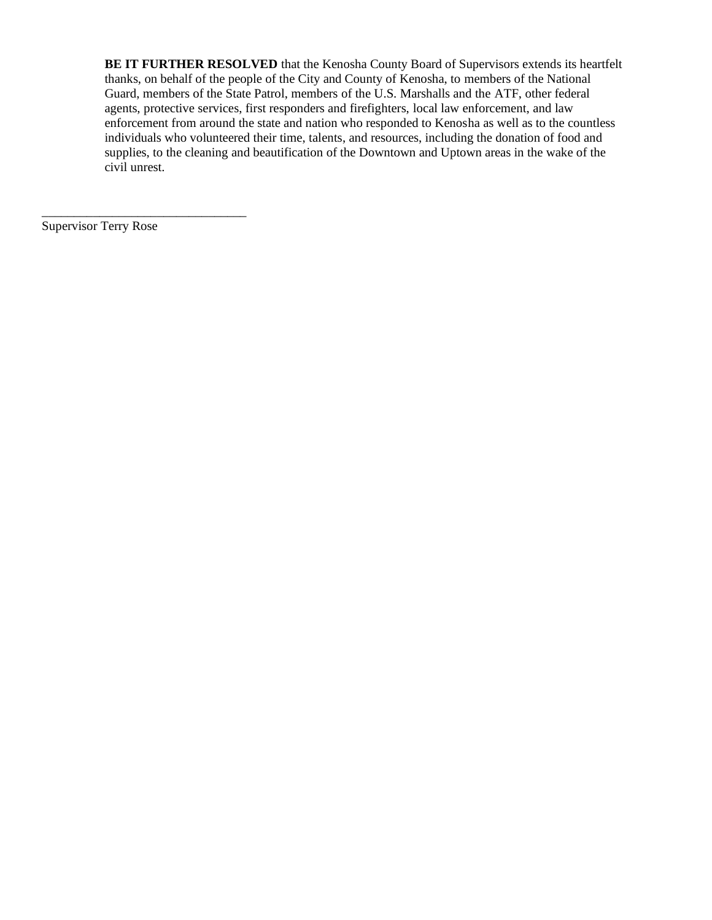**BE IT FURTHER RESOLVED** that the Kenosha County Board of Supervisors extends its heartfelt thanks, on behalf of the people of the City and County of Kenosha, to members of the National Guard, members of the State Patrol, members of the U.S. Marshalls and the ATF, other federal agents, protective services, first responders and firefighters, local law enforcement, and law enforcement from around the state and nation who responded to Kenosha as well as to the countless individuals who volunteered their time, talents, and resources, including the donation of food and supplies, to the cleaning and beautification of the Downtown and Uptown areas in the wake of the civil unrest.

Supervisor Terry Rose

\_\_\_\_\_\_\_\_\_\_\_\_\_\_\_\_\_\_\_\_\_\_\_\_\_\_\_\_\_\_\_\_